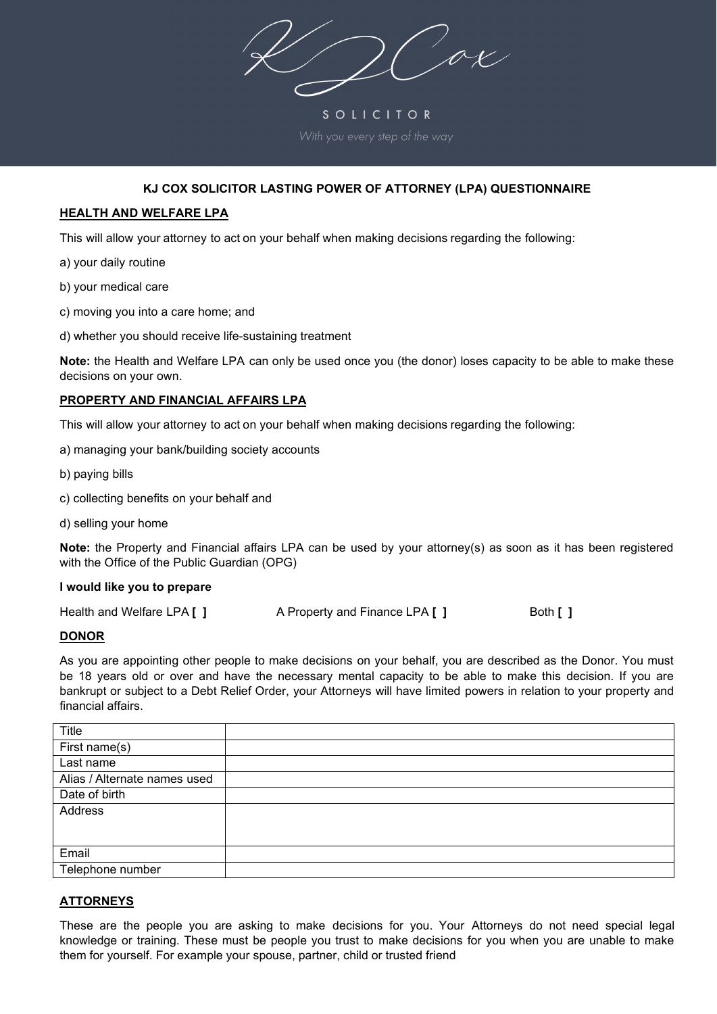$2\sqrt{2}$ 

SOLICITOR

# **KJ COX SOLICITOR LASTING POWER OF ATTORNEY (LPA) QUESTIONNAIRE**

### **HEALTH AND WELFARE LPA**

This will allow your attorney to act on your behalf when making decisions regarding the following:

- a) your daily routine
- b) your medical care
- c) moving you into a care home; and
- d) whether you should receive life-sustaining treatment

**Note:** the Health and Welfare LPA can only be used once you (the donor) loses capacity to be able to make these decisions on your own.

#### **PROPERTY AND FINANCIAL AFFAIRS LPA**

This will allow your attorney to act on your behalf when making decisions regarding the following:

- a) managing your bank/building society accounts
- b) paying bills
- c) collecting benefits on your behalf and
- d) selling your home

**Note:** the Property and Financial affairs LPA can be used by your attorney(s) as soon as it has been registered with the Office of the Public Guardian (OPG)

#### **I would like you to prepare**

| Health and Welfare LPA [ ] | A Property and Finance LPA [ ] | Both [ ] |
|----------------------------|--------------------------------|----------|
|                            |                                |          |

#### **DONOR**

As you are appointing other people to make decisions on your behalf, you are described as the Donor. You must be 18 years old or over and have the necessary mental capacity to be able to make this decision. If you are bankrupt or subject to a Debt Relief Order, your Attorneys will have limited powers in relation to your property and financial affairs.

| Title                        |  |
|------------------------------|--|
| First name(s)                |  |
| Last name                    |  |
| Alias / Alternate names used |  |
| Date of birth                |  |
| Address                      |  |
|                              |  |
|                              |  |
| Email                        |  |
| Telephone number             |  |

### **ATTORNEYS**

These are the people you are asking to make decisions for you. Your Attorneys do not need special legal knowledge or training. These must be people you trust to make decisions for you when you are unable to make them for yourself. For example your spouse, partner, child or trusted friend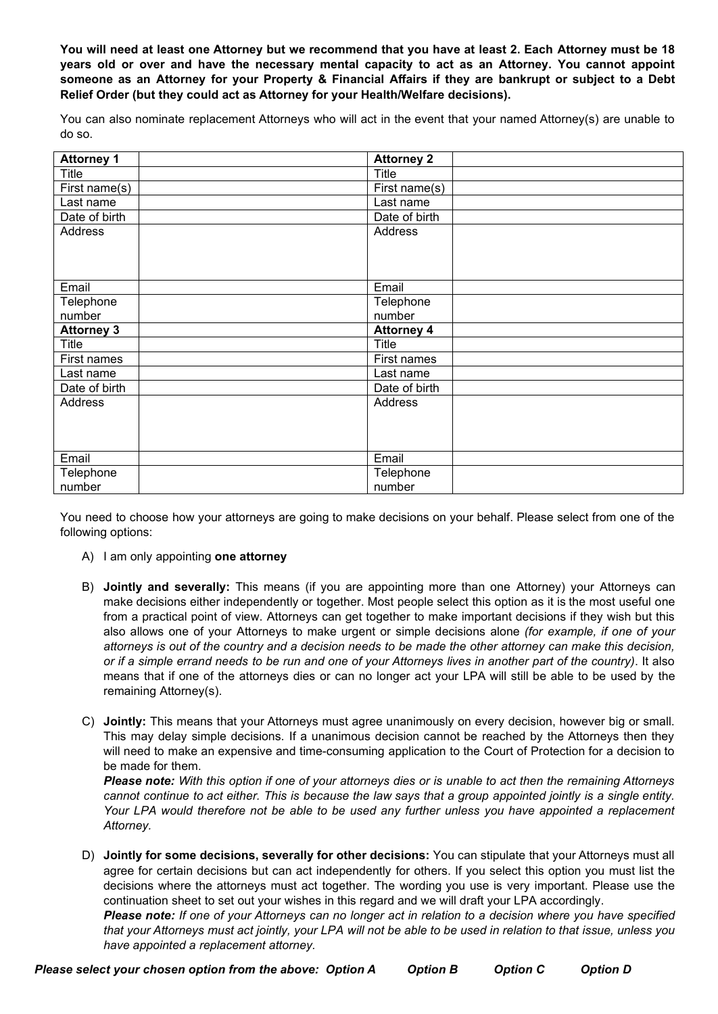**You will need at least one Attorney but we recommend that you have at least 2. Each Attorney must be 18 years old or over and have the necessary mental capacity to act as an Attorney. You cannot appoint someone as an Attorney for your Property & Financial Affairs if they are bankrupt or subject to a Debt Relief Order (but they could act as Attorney for your Health/Welfare decisions).**

You can also nominate replacement Attorneys who will act in the event that your named Attorney(s) are unable to do so.

| <b>Attorney 1</b> | <b>Attorney 2</b> |
|-------------------|-------------------|
| Title             | <b>Title</b>      |
| First name(s)     | First name(s)     |
| Last name         | Last name         |
| Date of birth     | Date of birth     |
| Address           | Address           |
|                   |                   |
|                   |                   |
|                   |                   |
| Email             | Email             |
| Telephone         | Telephone         |
| number            | number            |
| <b>Attorney 3</b> | <b>Attorney 4</b> |
| Title             | <b>Title</b>      |
| First names       | First names       |
| Last name         | Last name         |
| Date of birth     | Date of birth     |
| Address           | <b>Address</b>    |
|                   |                   |
|                   |                   |
|                   |                   |
| Email             | Email             |
| Telephone         | Telephone         |
| number            | number            |

You need to choose how your attorneys are going to make decisions on your behalf. Please select from one of the following options:

- A) I am only appointing **one attorney**
- B) **Jointly and severally:** This means (if you are appointing more than one Attorney) your Attorneys can make decisions either independently or together. Most people select this option as it is the most useful one from a practical point of view. Attorneys can get together to make important decisions if they wish but this also allows one of your Attorneys to make urgent or simple decisions alone *(for example, if one of your attorneys is out of the country and a decision needs to be made the other attorney can make this decision, or if a simple errand needs to be run and one of your Attorneys lives in another part of the country)*. It also means that if one of the attorneys dies or can no longer act your LPA will still be able to be used by the remaining Attorney(s).
- C) **Jointly:** This means that your Attorneys must agree unanimously on every decision, however big or small. This may delay simple decisions. If a unanimous decision cannot be reached by the Attorneys then they will need to make an expensive and time-consuming application to the Court of Protection for a decision to be made for them.

*Please note: With this option if one of your attorneys dies or is unable to act then the remaining Attorneys cannot continue to act either. This is because the law says that a group appointed jointly is a single entity. Your LPA would therefore not be able to be used any further unless you have appointed a replacement Attorney.*

D) **Jointly for some decisions, severally for other decisions:** You can stipulate that your Attorneys must all agree for certain decisions but can act independently for others. If you select this option you must list the decisions where the attorneys must act together. The wording you use is very important. Please use the continuation sheet to set out your wishes in this regard and we will draft your LPA accordingly. *Please note: If one of your Attorneys can no longer act in relation to a decision where you have specified that your Attorneys must act jointly, your LPA will not be able to be used in relation to that issue, unless you*

*have appointed a replacement attorney.*

*Please select your chosen option from the above: Option A Option B Option C Option D*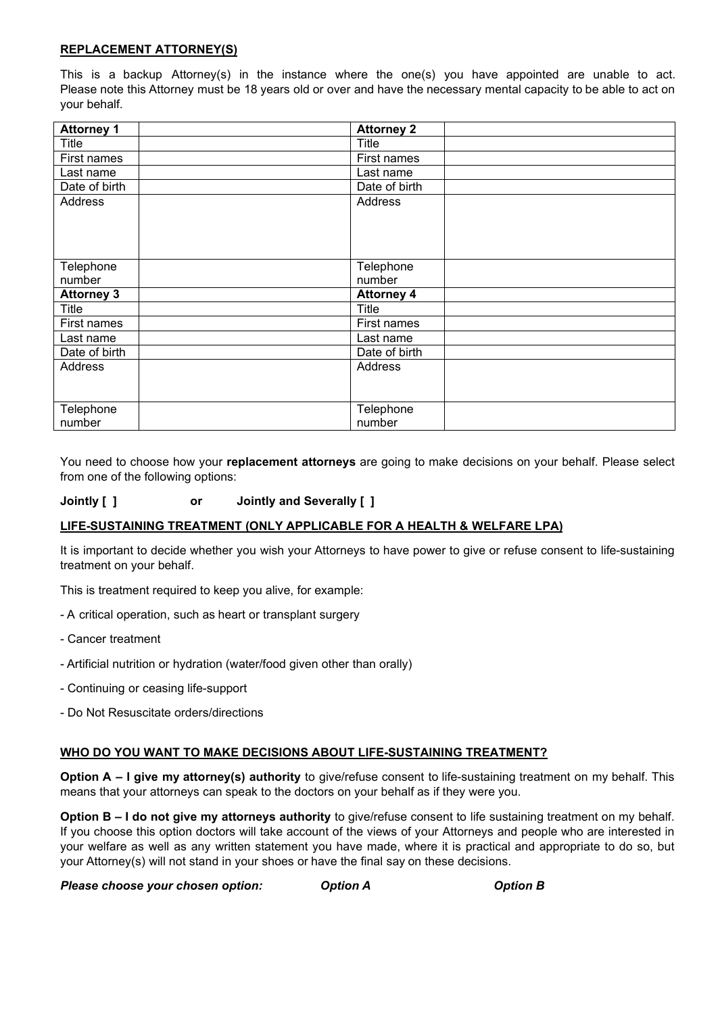### **REPLACEMENT ATTORNEY(S)**

This is a backup Attorney(s) in the instance where the one(s) you have appointed are unable to act. Please note this Attorney must be 18 years old or over and have the necessary mental capacity to be able to act on your behalf.

| <b>Attorney 1</b> | <b>Attorney 2</b> |
|-------------------|-------------------|
| Title             | Title             |
| First names       | First names       |
| Last name         | Last name         |
| Date of birth     | Date of birth     |
| Address           | Address           |
|                   |                   |
|                   |                   |
|                   |                   |
| Telephone         | Telephone         |
| number            | number            |
| <b>Attorney 3</b> | <b>Attorney 4</b> |
| Title             | Title             |
| First names       | First names       |
| Last name         | Last name         |
| Date of birth     | Date of birth     |
| Address           | Address           |
|                   |                   |
|                   |                   |
| Telephone         | Telephone         |
| number            | number            |

You need to choose how your **replacement attorneys** are going to make decisions on your behalf. Please select from one of the following options:

## **Jointly [ ] or Jointly and Severally [ ]**

### **LIFE-SUSTAINING TREATMENT (ONLY APPLICABLE FOR A HEALTH & WELFARE LPA)**

It is important to decide whether you wish your Attorneys to have power to give or refuse consent to life-sustaining treatment on your behalf.

This is treatment required to keep you alive, for example:

- A critical operation, such as heart or transplant surgery
- Cancer treatment
- Artificial nutrition or hydration (water/food given other than orally)
- Continuing or ceasing life-support
- Do Not Resuscitate orders/directions

### **WHO DO YOU WANT TO MAKE DECISIONS ABOUT LIFE-SUSTAINING TREATMENT?**

**Option A – I give my attorney(s) authority** to give/refuse consent to life-sustaining treatment on my behalf. This means that your attorneys can speak to the doctors on your behalf as if they were you.

**Option B – I do not give my attorneys authority** to give/refuse consent to life sustaining treatment on my behalf. If you choose this option doctors will take account of the views of your Attorneys and people who are interested in your welfare as well as any written statement you have made, where it is practical and appropriate to do so, but your Attorney(s) will not stand in your shoes or have the final say on these decisions.

*Please choose your chosen option: Option A Option B*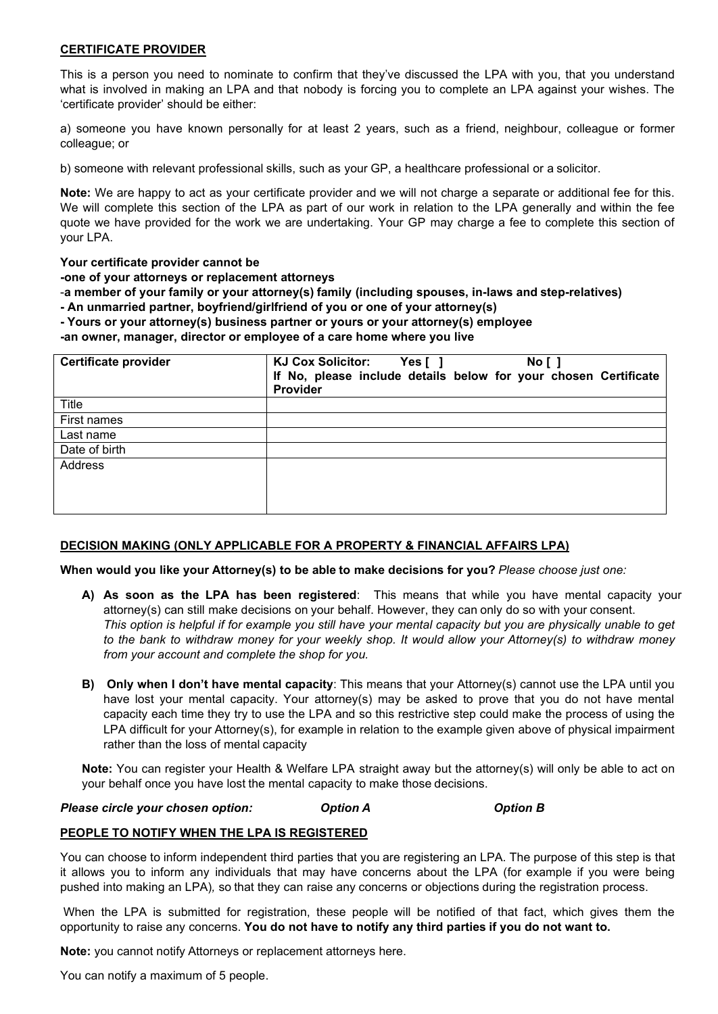#### **CERTIFICATE PROVIDER**

This is a person you need to nominate to confirm that they've discussed the LPA with you, that you understand what is involved in making an LPA and that nobody is forcing you to complete an LPA against your wishes. The 'certificate provider' should be either:

a) someone you have known personally for at least 2 years, such as a friend, neighbour, colleague or former colleague; or

b) someone with relevant professional skills, such as your GP, a healthcare professional or a solicitor.

**Note:** We are happy to act as your certificate provider and we will not charge a separate or additional fee for this. We will complete this section of the LPA as part of our work in relation to the LPA generally and within the fee quote we have provided for the work we are undertaking. Your GP may charge a fee to complete this section of your LPA.

#### **Your certificate provider cannot be**

**-one of your attorneys or replacement attorneys**

-**a member of your family or your attorney(s) family (including spouses, in-laws and step-relatives)**

**- An unmarried partner, boyfriend/girlfriend of you or one of your attorney(s)**

**- Yours or your attorney(s) business partner or yours or your attorney(s) employee**

**-an owner, manager, director or employee of a care home where you live**

| <b>Certificate provider</b> | <b>KJ Cox Solicitor:</b><br>No [ ]<br>Yes[]<br>If No, please include details below for your chosen Certificate<br><b>Provider</b> |
|-----------------------------|-----------------------------------------------------------------------------------------------------------------------------------|
|                             |                                                                                                                                   |
| Title                       |                                                                                                                                   |
| First names                 |                                                                                                                                   |
| Last name                   |                                                                                                                                   |
| Date of birth               |                                                                                                                                   |
| Address                     |                                                                                                                                   |
|                             |                                                                                                                                   |
|                             |                                                                                                                                   |
|                             |                                                                                                                                   |
|                             |                                                                                                                                   |

### **DECISION MAKING (ONLY APPLICABLE FOR A PROPERTY & FINANCIAL AFFAIRS LPA)**

**When would you like your Attorney(s) to be able to make decisions for you?** *Please choose just one:*

- **A) As soon as the LPA has been registered**: This means that while you have mental capacity your attorney(s) can still make decisions on your behalf. However, they can only do so with your consent. *This option is helpful if for example you still have your mental capacity but you are physically unable to get to the bank to withdraw money for your weekly shop. It would allow your Attorney(s) to withdraw money from your account and complete the shop for you.*
- **B) Only when I don't have mental capacity**: This means that your Attorney(s) cannot use the LPA until you have lost your mental capacity. Your attorney(s) may be asked to prove that you do not have mental capacity each time they try to use the LPA and so this restrictive step could make the process of using the LPA difficult for your Attorney(s), for example in relation to the example given above of physical impairment rather than the loss of mental capacity

**Note:** You can register your Health & Welfare LPA straight away but the attorney(s) will only be able to act on your behalf once you have lost the mental capacity to make those decisions.

### *Please circle your chosen option: Option A Option B*

### **PEOPLE TO NOTIFY WHEN THE LPA IS REGISTERED**

You can choose to inform independent third parties that you are registering an LPA. The purpose of this step is that it allows you to inform any individuals that may have concerns about the LPA (for example if you were being pushed into making an LPA)*,* so that they can raise any concerns or objections during the registration process.

When the LPA is submitted for registration, these people will be notified of that fact, which gives them the opportunity to raise any concerns. **You do not have to notify any third parties if you do not want to.**

**Note:** you cannot notify Attorneys or replacement attorneys here.

You can notify a maximum of 5 people.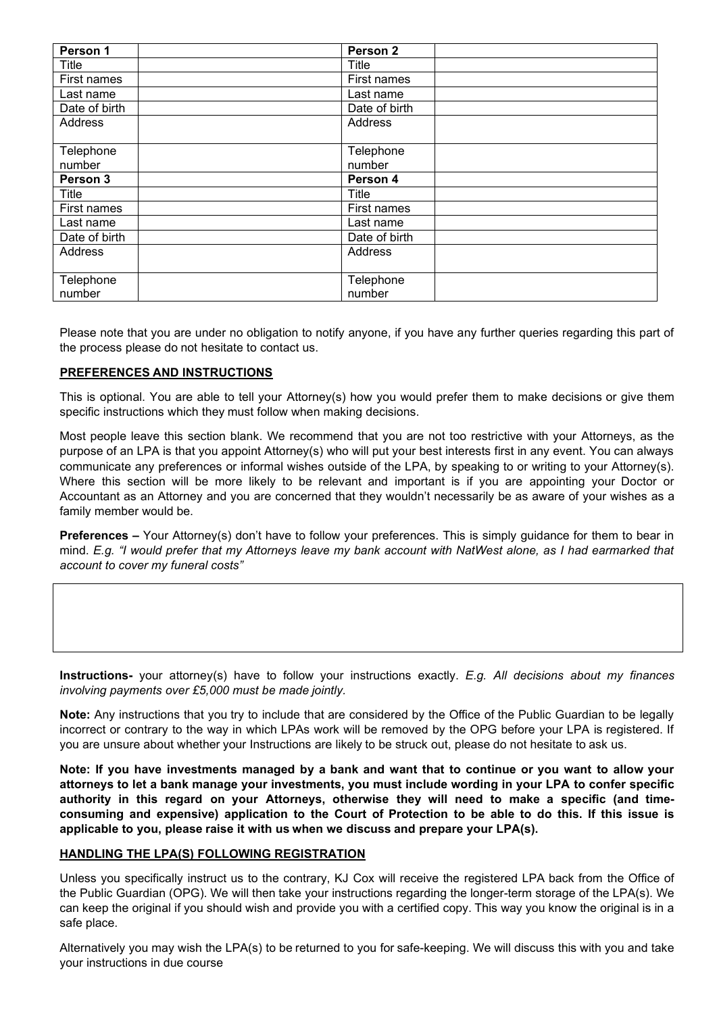| Person 1      | Person <sub>2</sub> |  |
|---------------|---------------------|--|
| Title         | <b>Title</b>        |  |
| First names   | First names         |  |
| Last name     | Last name           |  |
| Date of birth | Date of birth       |  |
| Address       | Address             |  |
|               |                     |  |
| Telephone     | Telephone           |  |
| number        | number              |  |
| Person 3      | Person 4            |  |
| Title         | <b>Title</b>        |  |
| First names   | First names         |  |
| Last name     | Last name           |  |
| Date of birth | Date of birth       |  |
| Address       | Address             |  |
|               |                     |  |
| Telephone     | Telephone           |  |
| number        | number              |  |

Please note that you are under no obligation to notify anyone, if you have any further queries regarding this part of the process please do not hesitate to contact us.

#### **PREFERENCES AND INSTRUCTIONS**

This is optional. You are able to tell your Attorney(s) how you would prefer them to make decisions or give them specific instructions which they must follow when making decisions.

Most people leave this section blank. We recommend that you are not too restrictive with your Attorneys, as the purpose of an LPA is that you appoint Attorney(s) who will put your best interests first in any event. You can always communicate any preferences or informal wishes outside of the LPA, by speaking to or writing to your Attorney(s). Where this section will be more likely to be relevant and important is if you are appointing your Doctor or Accountant as an Attorney and you are concerned that they wouldn't necessarily be as aware of your wishes as a family member would be.

**Preferences –** Your Attorney(s) don't have to follow your preferences. This is simply guidance for them to bear in mind. *E.g. "I would prefer that my Attorneys leave my bank account with NatWest alone, as I had earmarked that account to cover my funeral costs"*

**Instructions-** your attorney(s) have to follow your instructions exactly. *E.g. All decisions about my finances involving payments over £5,000 must be made jointly.*

**Note:** Any instructions that you try to include that are considered by the Office of the Public Guardian to be legally incorrect or contrary to the way in which LPAs work will be removed by the OPG before your LPA is registered. If you are unsure about whether your Instructions are likely to be struck out, please do not hesitate to ask us.

**Note: If you have investments managed by a bank and want that to continue or you want to allow your attorneys to let a bank manage your investments, you must include wording in your LPA to confer specific authority in this regard on your Attorneys, otherwise they will need to make a specific (and timeconsuming and expensive) application to the Court of Protection to be able to do this. If this issue is applicable to you, please raise it with us when we discuss and prepare your LPA(s).**

#### **HANDLING THE LPA(S) FOLLOWING REGISTRATION**

Unless you specifically instruct us to the contrary, KJ Cox will receive the registered LPA back from the Office of the Public Guardian (OPG). We will then take your instructions regarding the longer-term storage of the LPA(s). We can keep the original if you should wish and provide you with a certified copy. This way you know the original is in a safe place.

Alternatively you may wish the LPA(s) to be returned to you for safe-keeping. We will discuss this with you and take your instructions in due course